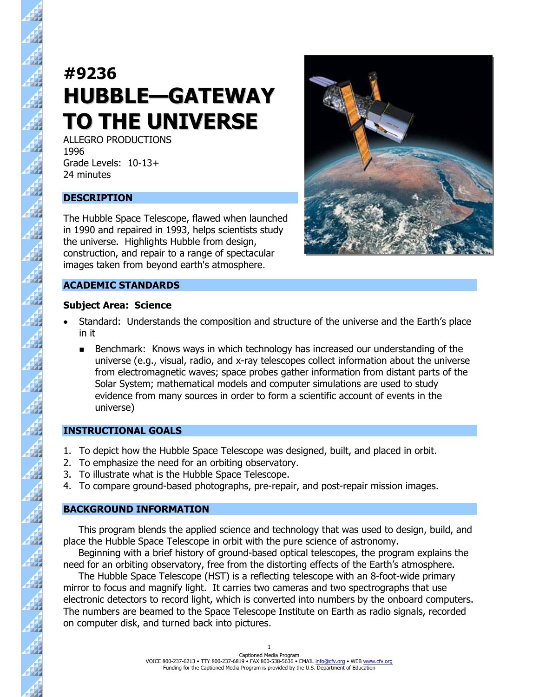# **#9236 HUBBLE—GATEWAY TO THE UNIVERSE**

ALLEGRO PRODUCTIONS 1996 Grade Levels: 10-13+ 24 minutes

# **DESCRIPTION**

44

A

 $\overline{\mathbf{A}}$ 

44

44 4

4

41

22 4

44

The Hubble Space Telescope, flawed when launched in 1990 and repaired in 1993, helps scientists study the universe. Highlights Hubble from design, construction, and repair to a range of spectacular images taken from beyond earth's atmosphere.

## **ACADEMIC STANDARDS**

#### **Subject Area: Science**

- Standard: Understands the composition and structure of the universe and the Earth's place in it
	- **Benchmark: Knows ways in which technology has increased our understanding of the** universe (e.g., visual, radio, and x-ray telescopes collect information about the universe from electromagnetic waves; space probes gather information from distant parts of the Solar System; mathematical models and computer simulations are used to study evidence from many sources in order to form a scientific account of events in the universe)

#### **INSTRUCTIONAL GOALS**

- 1. To depict how the Hubble Space Telescope was designed, built, and placed in orbit.
- 2. To emphasize the need for an orbiting observatory.
- 3. To illustrate what is the Hubble Space Telescope.
- 4. To compare ground-based photographs, pre-repair, and post-repair mission images.

#### **BACKGROUND INFORMATION**

 This program blends the applied science and technology that was used to design, build, and place the Hubble Space Telescope in orbit with the pure science of astronomy.

 Beginning with a brief history of ground-based optical telescopes, the program explains the need for an orbiting observatory, free from the distorting effects of the Earth's atmosphere.

 The Hubble Space Telescope (HST) is a reflecting telescope with an 8-foot-wide primary mirror to focus and magnify light. It carries two cameras and two spectrographs that use electronic detectors to record light, which is converted into numbers by the onboard computers. The numbers are beamed to the Space Telescope Institute on Earth as radio signals, recorded on computer disk, and turned back into pictures.

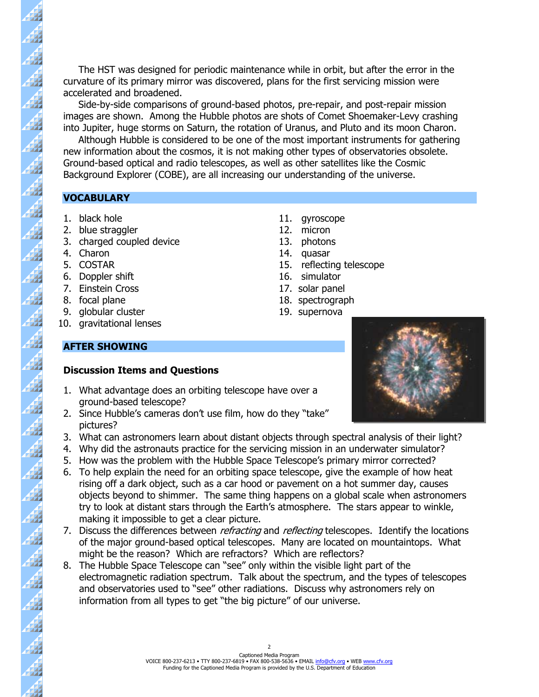The HST was designed for periodic maintenance while in orbit, but after the error in the curvature of its primary mirror was discovered, plans for the first servicing mission were accelerated and broadened.

 Side-by-side comparisons of ground-based photos, pre-repair, and post-repair mission images are shown. Among the Hubble photos are shots of Comet Shoemaker-Levy crashing into Jupiter, huge storms on Saturn, the rotation of Uranus, and Pluto and its moon Charon.

 Although Hubble is considered to be one of the most important instruments for gathering new information about the cosmos, it is not making other types of observatories obsolete. Ground-based optical and radio telescopes, as well as other satellites like the Cosmic Background Explorer (COBE), are all increasing our understanding of the universe.

#### **VOCABULARY**

- 
- 2. blue straggler 12. micron
- 3. charged coupled device 13. photons
- 

83

 $\vec{A}$ 

 $\frac{1}{4}$ 

42  $\overline{\mathbf{A}}$ 

 $\overline{\mathbf{A}}$ 

 $\frac{4}{3}$ 

 $\vec{A}$ 

 $\overline{A}$ 

 $\overline{\mathcal{A}}$ 

44

 $\overline{\mathbf{A}}$ 

- 
- 6. Doppler shift 16. simulator
- 7. Einstein Cross 17. solar panel
- 
- 9. globular cluster 19. supernova
- 10. gravitational lenses
- 1. black hole 11. gyroscope
	-
	-
- 4. Charon 14. quasar
- 5. COSTAR 15. reflecting telescope
	-
	-
- 8. focal plane 18. spectrograph
	-

#### **AFTER SHOWING**

#### **Discussion Items and Questions**

- 1. What advantage does an orbiting telescope have over a ground-based telescope?
- 2. Since Hubble's cameras don't use film, how do they "take" pictures?
- 3. What can astronomers learn about distant objects through spectral analysis of their light?
- 4. Why did the astronauts practice for the servicing mission in an underwater simulator?
- 5. How was the problem with the Hubble Space Telescope's primary mirror corrected?
- 6. To help explain the need for an orbiting space telescope, give the example of how heat rising off a dark object, such as a car hood or pavement on a hot summer day, causes objects beyond to shimmer. The same thing happens on a global scale when astronomers try to look at distant stars through the Earth's atmosphere. The stars appear to winkle, making it impossible to get a clear picture.
- 7. Discuss the differences between *refracting* and *reflecting* telescopes. Identify the locations of the major ground-based optical telescopes. Many are located on mountaintops. What might be the reason? Which are refractors? Which are reflectors?
- 8. The Hubble Space Telescope can "see" only within the visible light part of the electromagnetic radiation spectrum. Talk about the spectrum, and the types of telescopes and observatories used to "see" other radiations. Discuss why astronomers rely on information from all types to get "the big picture" of our universe.